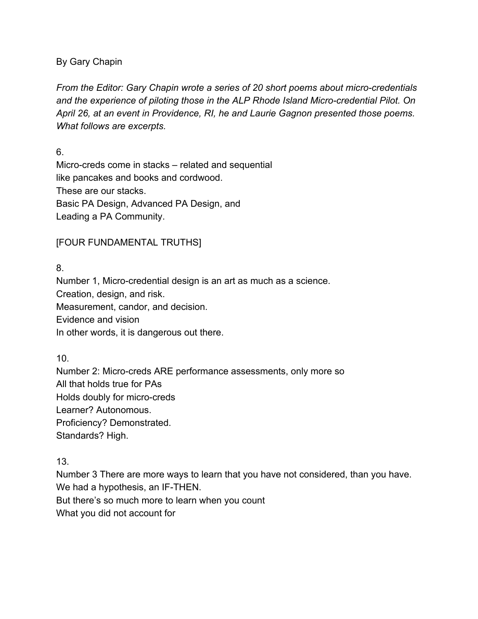## By Gary Chapin

*From the Editor: Gary Chapin wrote a series of 20 short poems about micro-credentials and the experience of piloting those in the ALP Rhode Island Micro-credential Pilot. On April 26, at an event in Providence, RI, he and Laurie Gagnon presented those poems. What follows are excerpts.*

6.

Micro-creds come in stacks – related and sequential like pancakes and books and cordwood. These are our stacks. Basic PA Design, Advanced PA Design, and Leading a PA Community.

## [FOUR FUNDAMENTAL TRUTHS]

8.

Number 1, Micro-credential design is an art as much as a science. Creation, design, and risk. Measurement, candor, and decision. Evidence and vision In other words, it is dangerous out there.

10.

Number 2: Micro-creds ARE performance assessments, only more so All that holds true for PAs Holds doubly for micro-creds Learner? Autonomous. Proficiency? Demonstrated. Standards? High.

13.

Number 3 There are more ways to learn that you have not considered, than you have. We had a hypothesis, an IF-THEN.

But there's so much more to learn when you count

What you did not account for